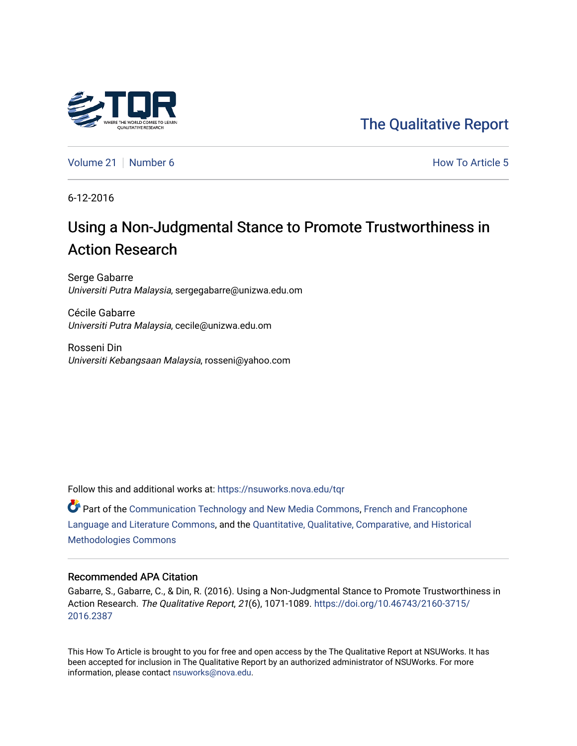

# [The Qualitative Report](https://nsuworks.nova.edu/tqr)

[Volume 21](https://nsuworks.nova.edu/tqr/vol21) | [Number 6](https://nsuworks.nova.edu/tqr/vol21/iss6) **How To Article 5** How To Article 5

6-12-2016

# Using a Non-Judgmental Stance to Promote Trustworthiness in Action Research

Serge Gabarre Universiti Putra Malaysia, sergegabarre@unizwa.edu.om

Cécile Gabarre Universiti Putra Malaysia, cecile@unizwa.edu.om

Rosseni Din Universiti Kebangsaan Malaysia, rosseni@yahoo.com

Follow this and additional works at: [https://nsuworks.nova.edu/tqr](https://nsuworks.nova.edu/tqr?utm_source=nsuworks.nova.edu%2Ftqr%2Fvol21%2Fiss6%2F5&utm_medium=PDF&utm_campaign=PDFCoverPages) 

**C** Part of the [Communication Technology and New Media Commons,](http://network.bepress.com/hgg/discipline/327?utm_source=nsuworks.nova.edu%2Ftqr%2Fvol21%2Fiss6%2F5&utm_medium=PDF&utm_campaign=PDFCoverPages) [French and Francophone](http://network.bepress.com/hgg/discipline/463?utm_source=nsuworks.nova.edu%2Ftqr%2Fvol21%2Fiss6%2F5&utm_medium=PDF&utm_campaign=PDFCoverPages) [Language and Literature Commons](http://network.bepress.com/hgg/discipline/463?utm_source=nsuworks.nova.edu%2Ftqr%2Fvol21%2Fiss6%2F5&utm_medium=PDF&utm_campaign=PDFCoverPages), and the [Quantitative, Qualitative, Comparative, and Historical](http://network.bepress.com/hgg/discipline/423?utm_source=nsuworks.nova.edu%2Ftqr%2Fvol21%2Fiss6%2F5&utm_medium=PDF&utm_campaign=PDFCoverPages) [Methodologies Commons](http://network.bepress.com/hgg/discipline/423?utm_source=nsuworks.nova.edu%2Ftqr%2Fvol21%2Fiss6%2F5&utm_medium=PDF&utm_campaign=PDFCoverPages) 

#### Recommended APA Citation

Gabarre, S., Gabarre, C., & Din, R. (2016). Using a Non-Judgmental Stance to Promote Trustworthiness in Action Research. The Qualitative Report, 21(6), 1071-1089. [https://doi.org/10.46743/2160-3715/](https://doi.org/10.46743/2160-3715/2016.2387) [2016.2387](https://doi.org/10.46743/2160-3715/2016.2387) 

This How To Article is brought to you for free and open access by the The Qualitative Report at NSUWorks. It has been accepted for inclusion in The Qualitative Report by an authorized administrator of NSUWorks. For more information, please contact [nsuworks@nova.edu.](mailto:nsuworks@nova.edu)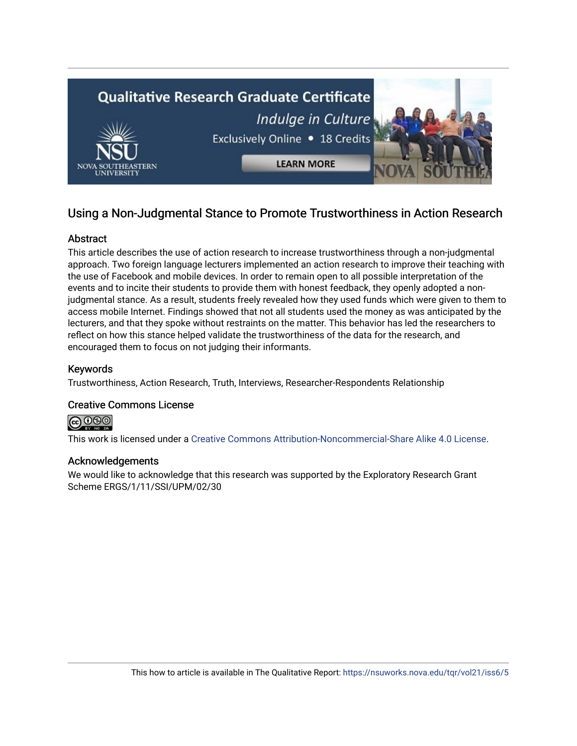

# Using a Non-Judgmental Stance to Promote Trustworthiness in Action Research

## Abstract

This article describes the use of action research to increase trustworthiness through a non-judgmental approach. Two foreign language lecturers implemented an action research to improve their teaching with the use of Facebook and mobile devices. In order to remain open to all possible interpretation of the events and to incite their students to provide them with honest feedback, they openly adopted a nonjudgmental stance. As a result, students freely revealed how they used funds which were given to them to access mobile Internet. Findings showed that not all students used the money as was anticipated by the lecturers, and that they spoke without restraints on the matter. This behavior has led the researchers to reflect on how this stance helped validate the trustworthiness of the data for the research, and encouraged them to focus on not judging their informants.

## Keywords

Trustworthiness, Action Research, Truth, Interviews, Researcher-Respondents Relationship

## Creative Commons License



This work is licensed under a [Creative Commons Attribution-Noncommercial-Share Alike 4.0 License](https://creativecommons.org/licenses/by-nc-sa/4.0/).

#### Acknowledgements

We would like to acknowledge that this research was supported by the Exploratory Research Grant Scheme ERGS/1/11/SSI/UPM/02/30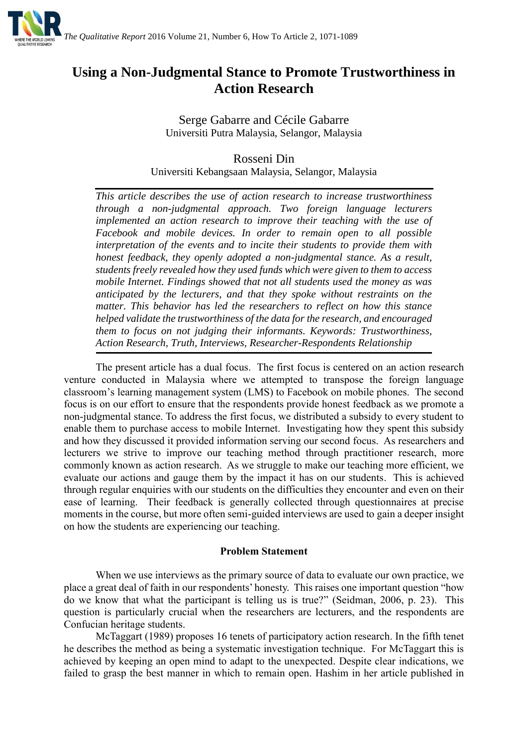

# **Using a Non-Judgmental Stance to Promote Trustworthiness in Action Research**

Serge Gabarre and Cécile Gabarre Universiti Putra Malaysia, Selangor, Malaysia

Rosseni Din Universiti Kebangsaan Malaysia, Selangor, Malaysia

*This article describes the use of action research to increase trustworthiness through a non-judgmental approach. Two foreign language lecturers implemented an action research to improve their teaching with the use of Facebook and mobile devices. In order to remain open to all possible interpretation of the events and to incite their students to provide them with honest feedback, they openly adopted a non-judgmental stance. As a result, students freely revealed how they used funds which were given to them to access mobile Internet. Findings showed that not all students used the money as was anticipated by the lecturers, and that they spoke without restraints on the matter. This behavior has led the researchers to reflect on how this stance helped validate the trustworthiness of the data for the research, and encouraged them to focus on not judging their informants. Keywords: Trustworthiness, Action Research, Truth, Interviews, Researcher-Respondents Relationship*

The present article has a dual focus. The first focus is centered on an action research venture conducted in Malaysia where we attempted to transpose the foreign language classroom's learning management system (LMS) to Facebook on mobile phones. The second focus is on our effort to ensure that the respondents provide honest feedback as we promote a non-judgmental stance. To address the first focus, we distributed a subsidy to every student to enable them to purchase access to mobile Internet. Investigating how they spent this subsidy and how they discussed it provided information serving our second focus. As researchers and lecturers we strive to improve our teaching method through practitioner research, more commonly known as action research. As we struggle to make our teaching more efficient, we evaluate our actions and gauge them by the impact it has on our students. This is achieved through regular enquiries with our students on the difficulties they encounter and even on their ease of learning. Their feedback is generally collected through questionnaires at precise moments in the course, but more often semi-guided interviews are used to gain a deeper insight on how the students are experiencing our teaching.

#### **Problem Statement**

When we use interviews as the primary source of data to evaluate our own practice, we place a great deal of faith in our respondents' honesty. This raises one important question "how do we know that what the participant is telling us is true?" (Seidman, 2006, p. 23). This question is particularly crucial when the researchers are lecturers, and the respondents are Confucian heritage students.

McTaggart (1989) proposes 16 tenets of participatory action research. In the fifth tenet he describes the method as being a systematic investigation technique. For McTaggart this is achieved by keeping an open mind to adapt to the unexpected. Despite clear indications, we failed to grasp the best manner in which to remain open. Hashim in her article published in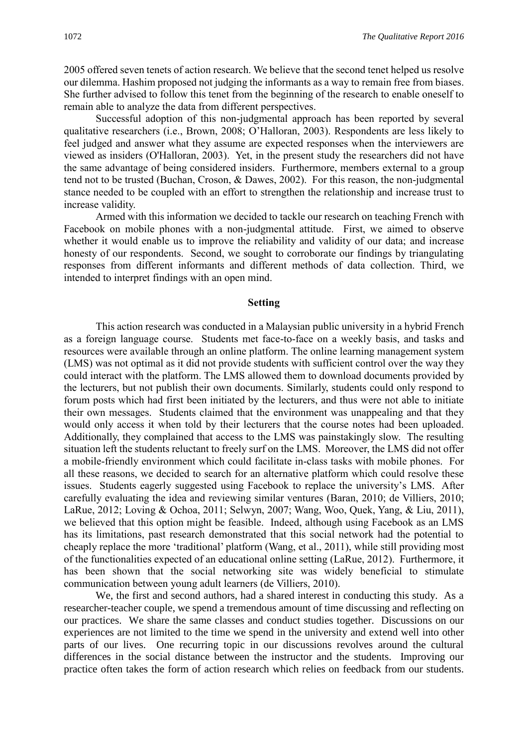2005 offered seven tenets of action research. We believe that the second tenet helped us resolve our dilemma. Hashim proposed not judging the informants as a way to remain free from biases. She further advised to follow this tenet from the beginning of the research to enable oneself to remain able to analyze the data from different perspectives.

Successful adoption of this non-judgmental approach has been reported by several qualitative researchers (i.e., Brown, 2008; O'Halloran, 2003). Respondents are less likely to feel judged and answer what they assume are expected responses when the interviewers are viewed as insiders (O'Halloran, 2003). Yet, in the present study the researchers did not have the same advantage of being considered insiders. Furthermore, members external to a group tend not to be trusted (Buchan, Croson, & Dawes, 2002). For this reason, the non-judgmental stance needed to be coupled with an effort to strengthen the relationship and increase trust to increase validity.

Armed with this information we decided to tackle our research on teaching French with Facebook on mobile phones with a non-judgmental attitude. First, we aimed to observe whether it would enable us to improve the reliability and validity of our data; and increase honesty of our respondents. Second, we sought to corroborate our findings by triangulating responses from different informants and different methods of data collection. Third, we intended to interpret findings with an open mind.

#### **Setting**

This action research was conducted in a Malaysian public university in a hybrid French as a foreign language course. Students met face-to-face on a weekly basis, and tasks and resources were available through an online platform. The online learning management system (LMS) was not optimal as it did not provide students with sufficient control over the way they could interact with the platform. The LMS allowed them to download documents provided by the lecturers, but not publish their own documents. Similarly, students could only respond to forum posts which had first been initiated by the lecturers, and thus were not able to initiate their own messages. Students claimed that the environment was unappealing and that they would only access it when told by their lecturers that the course notes had been uploaded. Additionally, they complained that access to the LMS was painstakingly slow. The resulting situation left the students reluctant to freely surf on the LMS. Moreover, the LMS did not offer a mobile-friendly environment which could facilitate in-class tasks with mobile phones. For all these reasons, we decided to search for an alternative platform which could resolve these issues. Students eagerly suggested using Facebook to replace the university's LMS. After carefully evaluating the idea and reviewing similar ventures (Baran, 2010; de Villiers, 2010; LaRue, 2012; Loving & Ochoa, 2011; Selwyn, 2007; Wang, Woo, Quek, Yang, & Liu, 2011), we believed that this option might be feasible. Indeed, although using Facebook as an LMS has its limitations, past research demonstrated that this social network had the potential to cheaply replace the more 'traditional' platform (Wang, et al., 2011), while still providing most of the functionalities expected of an educational online setting (LaRue, 2012). Furthermore, it has been shown that the social networking site was widely beneficial to stimulate communication between young adult learners (de Villiers, 2010).

We, the first and second authors, had a shared interest in conducting this study. As a researcher-teacher couple, we spend a tremendous amount of time discussing and reflecting on our practices. We share the same classes and conduct studies together. Discussions on our experiences are not limited to the time we spend in the university and extend well into other parts of our lives. One recurring topic in our discussions revolves around the cultural differences in the social distance between the instructor and the students. Improving our practice often takes the form of action research which relies on feedback from our students.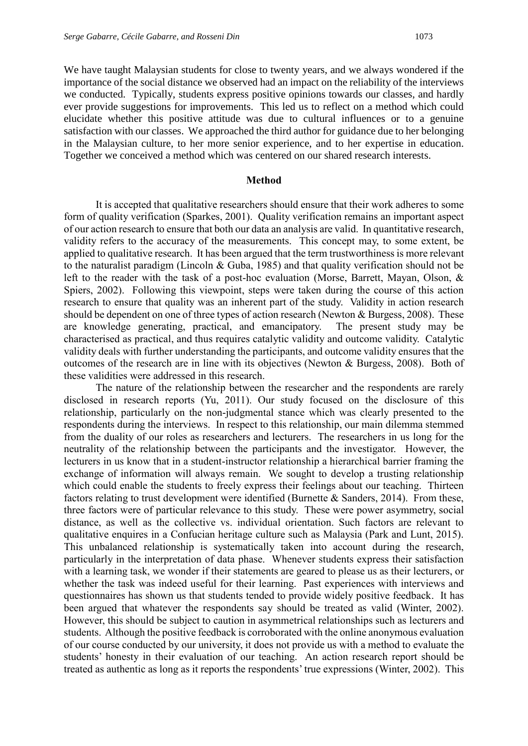We have taught Malaysian students for close to twenty years, and we always wondered if the importance of the social distance we observed had an impact on the reliability of the interviews we conducted. Typically, students express positive opinions towards our classes, and hardly ever provide suggestions for improvements. This led us to reflect on a method which could elucidate whether this positive attitude was due to cultural influences or to a genuine satisfaction with our classes. We approached the third author for guidance due to her belonging in the Malaysian culture, to her more senior experience, and to her expertise in education. Together we conceived a method which was centered on our shared research interests.

#### **Method**

It is accepted that qualitative researchers should ensure that their work adheres to some form of quality verification (Sparkes, 2001). Quality verification remains an important aspect of our action research to ensure that both our data an analysis are valid. In quantitative research, validity refers to the accuracy of the measurements. This concept may, to some extent, be applied to qualitative research. It has been argued that the term trustworthiness is more relevant to the naturalist paradigm (Lincoln & Guba, 1985) and that quality verification should not be left to the reader with the task of a post-hoc evaluation (Morse, Barrett, Mayan, Olson, & Spiers, 2002). Following this viewpoint, steps were taken during the course of this action research to ensure that quality was an inherent part of the study. Validity in action research should be dependent on one of three types of action research (Newton & Burgess, 2008). These are knowledge generating, practical, and emancipatory. The present study may be characterised as practical, and thus requires catalytic validity and outcome validity. Catalytic validity deals with further understanding the participants, and outcome validity ensures that the outcomes of the research are in line with its objectives (Newton & Burgess, 2008). Both of these validities were addressed in this research.

The nature of the relationship between the researcher and the respondents are rarely disclosed in research reports (Yu, 2011). Our study focused on the disclosure of this relationship, particularly on the non-judgmental stance which was clearly presented to the respondents during the interviews. In respect to this relationship, our main dilemma stemmed from the duality of our roles as researchers and lecturers. The researchers in us long for the neutrality of the relationship between the participants and the investigator. However, the lecturers in us know that in a student-instructor relationship a hierarchical barrier framing the exchange of information will always remain. We sought to develop a trusting relationship which could enable the students to freely express their feelings about our teaching. Thirteen factors relating to trust development were identified (Burnette & Sanders, 2014). From these, three factors were of particular relevance to this study. These were power asymmetry, social distance, as well as the collective vs. individual orientation. Such factors are relevant to qualitative enquires in a Confucian heritage culture such as Malaysia (Park and Lunt, 2015). This unbalanced relationship is systematically taken into account during the research, particularly in the interpretation of data phase. Whenever students express their satisfaction with a learning task, we wonder if their statements are geared to please us as their lecturers, or whether the task was indeed useful for their learning. Past experiences with interviews and questionnaires has shown us that students tended to provide widely positive feedback. It has been argued that whatever the respondents say should be treated as valid (Winter, 2002). However, this should be subject to caution in asymmetrical relationships such as lecturers and students. Although the positive feedback is corroborated with the online anonymous evaluation of our course conducted by our university, it does not provide us with a method to evaluate the students' honesty in their evaluation of our teaching. An action research report should be treated as authentic as long as it reports the respondents' true expressions (Winter, 2002). This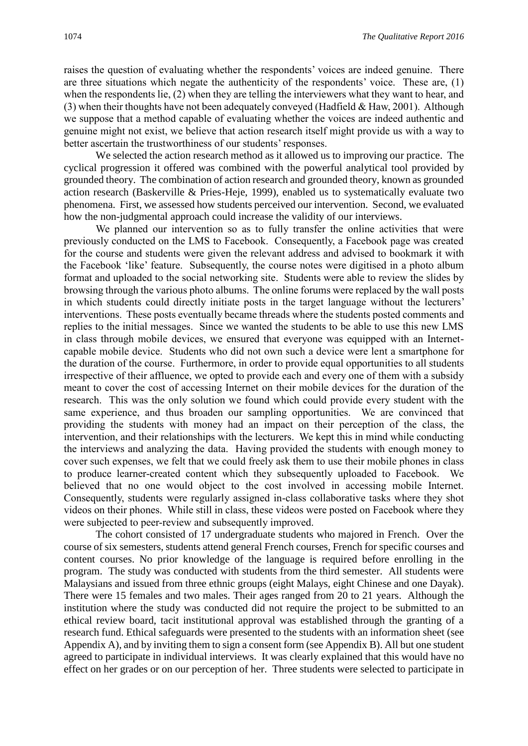raises the question of evaluating whether the respondents' voices are indeed genuine. There are three situations which negate the authenticity of the respondents' voice. These are, (1) when the respondents lie, (2) when they are telling the interviewers what they want to hear, and (3) when their thoughts have not been adequately conveyed (Hadfield & Haw, 2001). Although we suppose that a method capable of evaluating whether the voices are indeed authentic and genuine might not exist, we believe that action research itself might provide us with a way to better ascertain the trustworthiness of our students' responses.

We selected the action research method as it allowed us to improving our practice. The cyclical progression it offered was combined with the powerful analytical tool provided by grounded theory. The combination of action research and grounded theory, known as grounded action research (Baskerville & Pries-Heje, 1999), enabled us to systematically evaluate two phenomena. First, we assessed how students perceived our intervention. Second, we evaluated how the non-judgmental approach could increase the validity of our interviews.

We planned our intervention so as to fully transfer the online activities that were previously conducted on the LMS to Facebook. Consequently, a Facebook page was created for the course and students were given the relevant address and advised to bookmark it with the Facebook 'like' feature. Subsequently, the course notes were digitised in a photo album format and uploaded to the social networking site. Students were able to review the slides by browsing through the various photo albums. The online forums were replaced by the wall posts in which students could directly initiate posts in the target language without the lecturers' interventions. These posts eventually became threads where the students posted comments and replies to the initial messages. Since we wanted the students to be able to use this new LMS in class through mobile devices, we ensured that everyone was equipped with an Internetcapable mobile device. Students who did not own such a device were lent a smartphone for the duration of the course. Furthermore, in order to provide equal opportunities to all students irrespective of their affluence, we opted to provide each and every one of them with a subsidy meant to cover the cost of accessing Internet on their mobile devices for the duration of the research. This was the only solution we found which could provide every student with the same experience, and thus broaden our sampling opportunities. We are convinced that providing the students with money had an impact on their perception of the class, the intervention, and their relationships with the lecturers. We kept this in mind while conducting the interviews and analyzing the data. Having provided the students with enough money to cover such expenses, we felt that we could freely ask them to use their mobile phones in class to produce learner-created content which they subsequently uploaded to Facebook. We believed that no one would object to the cost involved in accessing mobile Internet. Consequently, students were regularly assigned in-class collaborative tasks where they shot videos on their phones. While still in class, these videos were posted on Facebook where they were subjected to peer-review and subsequently improved.

The cohort consisted of 17 undergraduate students who majored in French. Over the course of six semesters, students attend general French courses, French for specific courses and content courses. No prior knowledge of the language is required before enrolling in the program. The study was conducted with students from the third semester. All students were Malaysians and issued from three ethnic groups (eight Malays, eight Chinese and one Dayak). There were 15 females and two males. Their ages ranged from 20 to 21 years. Although the institution where the study was conducted did not require the project to be submitted to an ethical review board, tacit institutional approval was established through the granting of a research fund. Ethical safeguards were presented to the students with an information sheet (see Appendix A), and by inviting them to sign a consent form (see Appendix B). All but one student agreed to participate in individual interviews. It was clearly explained that this would have no effect on her grades or on our perception of her. Three students were selected to participate in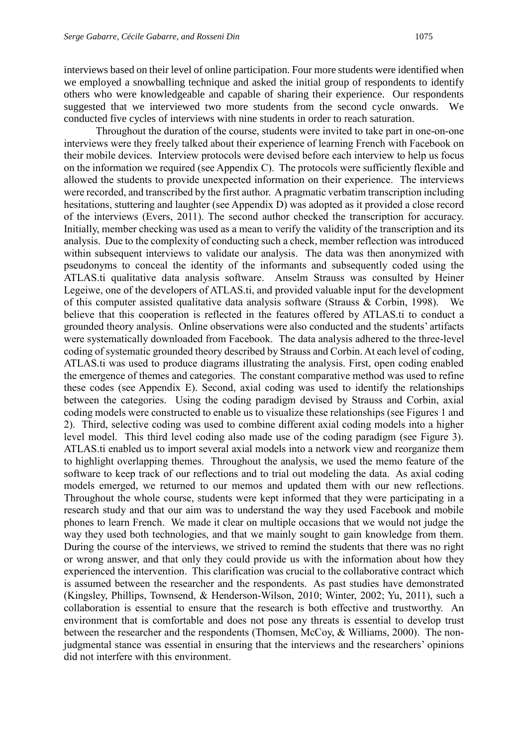interviews based on their level of online participation. Four more students were identified when we employed a snowballing technique and asked the initial group of respondents to identify others who were knowledgeable and capable of sharing their experience. Our respondents suggested that we interviewed two more students from the second cycle onwards. We conducted five cycles of interviews with nine students in order to reach saturation.

Throughout the duration of the course, students were invited to take part in one-on-one interviews were they freely talked about their experience of learning French with Facebook on their mobile devices. Interview protocols were devised before each interview to help us focus on the information we required (see Appendix C). The protocols were sufficiently flexible and allowed the students to provide unexpected information on their experience. The interviews were recorded, and transcribed by the first author. A pragmatic verbatim transcription including hesitations, stuttering and laughter (see Appendix D) was adopted as it provided a close record of the interviews (Evers, 2011). The second author checked the transcription for accuracy. Initially, member checking was used as a mean to verify the validity of the transcription and its analysis. Due to the complexity of conducting such a check, member reflection was introduced within subsequent interviews to validate our analysis. The data was then anonymized with pseudonyms to conceal the identity of the informants and subsequently coded using the ATLAS.ti qualitative data analysis software. Anselm Strauss was consulted by Heiner Legeiwe, one of the developers of ATLAS.ti, and provided valuable input for the development of this computer assisted qualitative data analysis software (Strauss & Corbin, 1998). We believe that this cooperation is reflected in the features offered by ATLAS.ti to conduct a grounded theory analysis. Online observations were also conducted and the students' artifacts were systematically downloaded from Facebook. The data analysis adhered to the three-level coding of systematic grounded theory described by Strauss and Corbin. At each level of coding, ATLAS.ti was used to produce diagrams illustrating the analysis. First, open coding enabled the emergence of themes and categories. The constant comparative method was used to refine these codes (see Appendix E). Second, axial coding was used to identify the relationships between the categories. Using the coding paradigm devised by Strauss and Corbin, axial coding models were constructed to enable us to visualize these relationships (see Figures 1 and 2). Third, selective coding was used to combine different axial coding models into a higher level model. This third level coding also made use of the coding paradigm (see Figure 3). ATLAS.ti enabled us to import several axial models into a network view and reorganize them to highlight overlapping themes. Throughout the analysis, we used the memo feature of the software to keep track of our reflections and to trial out modeling the data. As axial coding models emerged, we returned to our memos and updated them with our new reflections. Throughout the whole course, students were kept informed that they were participating in a research study and that our aim was to understand the way they used Facebook and mobile phones to learn French. We made it clear on multiple occasions that we would not judge the way they used both technologies, and that we mainly sought to gain knowledge from them. During the course of the interviews, we strived to remind the students that there was no right or wrong answer, and that only they could provide us with the information about how they experienced the intervention. This clarification was crucial to the collaborative contract which is assumed between the researcher and the respondents. As past studies have demonstrated (Kingsley, Phillips, Townsend, & Henderson-Wilson, 2010; Winter, 2002; Yu, 2011), such a collaboration is essential to ensure that the research is both effective and trustworthy. An environment that is comfortable and does not pose any threats is essential to develop trust between the researcher and the respondents (Thomsen, McCoy, & Williams, 2000). The nonjudgmental stance was essential in ensuring that the interviews and the researchers' opinions did not interfere with this environment.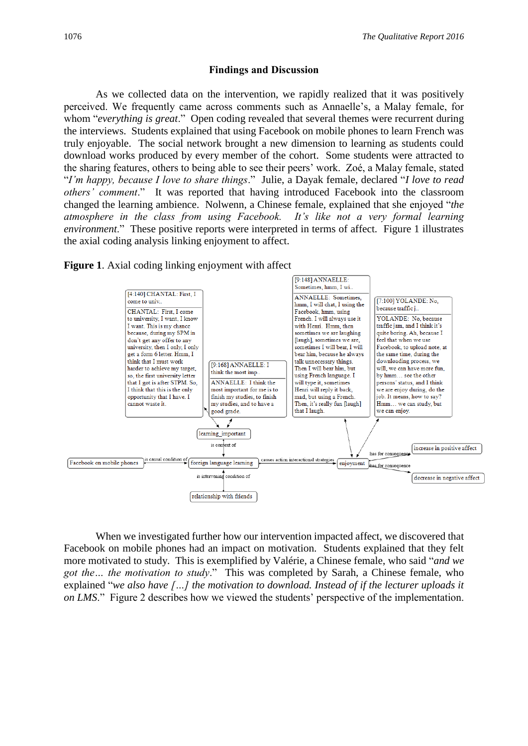#### **Findings and Discussion**

As we collected data on the intervention, we rapidly realized that it was positively perceived. We frequently came across comments such as Annaelle's, a Malay female, for whom "*everything is great*." Open coding revealed that several themes were recurrent during the interviews. Students explained that using Facebook on mobile phones to learn French was truly enjoyable. The social network brought a new dimension to learning as students could download works produced by every member of the cohort. Some students were attracted to the sharing features, others to being able to see their peers' work. Zoé, a Malay female, stated "*I'm happy, because I love to share things*." Julie, a Dayak female, declared "*I love to read others' comment*." It was reported that having introduced Facebook into the classroom changed the learning ambience. Nolwenn, a Chinese female, explained that she enjoyed "*the atmosphere in the class from using Facebook. It's like not a very formal learning environment*." These positive reports were interpreted in terms of affect. Figure 1 illustrates the axial coding analysis linking enjoyment to affect.





When we investigated further how our intervention impacted affect, we discovered that Facebook on mobile phones had an impact on motivation. Students explained that they felt more motivated to study. This is exemplified by Valérie, a Chinese female, who said "*and we got the… the motivation to study*." This was completed by Sarah, a Chinese female, who explained "*we also have […] the motivation to download. Instead of if the lecturer uploads it on LMS*." Figure 2 describes how we viewed the students' perspective of the implementation.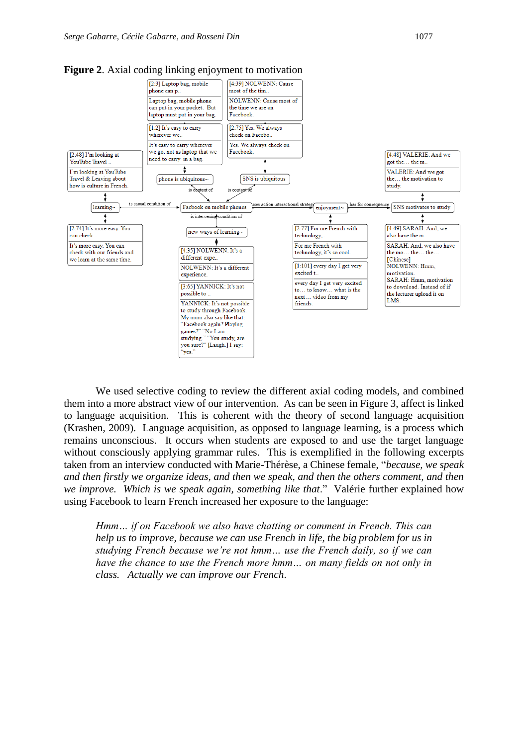

**Figure 2**. Axial coding linking enjoyment to motivation

We used selective coding to review the different axial coding models, and combined them into a more abstract view of our intervention. As can be seen in Figure 3, affect is linked to language acquisition. This is coherent with the theory of second language acquisition (Krashen, 2009). Language acquisition, as opposed to language learning, is a process which remains unconscious. It occurs when students are exposed to and use the target language without consciously applying grammar rules. This is exemplified in the following excerpts taken from an interview conducted with Marie-Thérèse, a Chinese female, "*because, we speak and then firstly we organize ideas, and then we speak, and then the others comment, and then we improve. Which is we speak again, something like that*." Valérie further explained how using Facebook to learn French increased her exposure to the language:

*Hmm… if on Facebook we also have chatting or comment in French. This can help us to improve, because we can use French in life, the big problem for us in studying French because we're not hmm… use the French daily, so if we can have the chance to use the French more hmm... on many fields on not only in class. Actually we can improve our French*.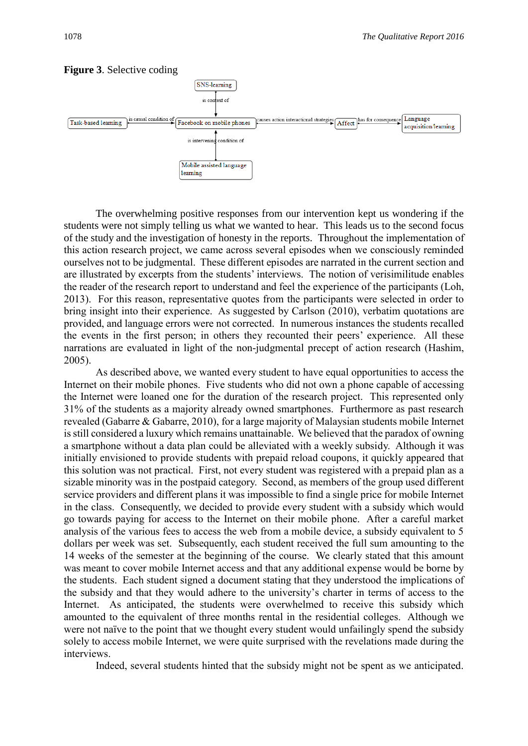

#### **Figure 3**. Selective coding

The overwhelming positive responses from our intervention kept us wondering if the students were not simply telling us what we wanted to hear. This leads us to the second focus of the study and the investigation of honesty in the reports. Throughout the implementation of this action research project, we came across several episodes when we consciously reminded ourselves not to be judgmental. These different episodes are narrated in the current section and are illustrated by excerpts from the students' interviews. The notion of verisimilitude enables the reader of the research report to understand and feel the experience of the participants (Loh, 2013). For this reason, representative quotes from the participants were selected in order to bring insight into their experience. As suggested by Carlson (2010), verbatim quotations are provided, and language errors were not corrected. In numerous instances the students recalled the events in the first person; in others they recounted their peers' experience. All these narrations are evaluated in light of the non-judgmental precept of action research (Hashim, 2005).

As described above, we wanted every student to have equal opportunities to access the Internet on their mobile phones. Five students who did not own a phone capable of accessing the Internet were loaned one for the duration of the research project. This represented only 31% of the students as a majority already owned smartphones. Furthermore as past research revealed (Gabarre & Gabarre, 2010), for a large majority of Malaysian students mobile Internet is still considered a luxury which remains unattainable. We believed that the paradox of owning a smartphone without a data plan could be alleviated with a weekly subsidy. Although it was initially envisioned to provide students with prepaid reload coupons, it quickly appeared that this solution was not practical. First, not every student was registered with a prepaid plan as a sizable minority was in the postpaid category. Second, as members of the group used different service providers and different plans it was impossible to find a single price for mobile Internet in the class. Consequently, we decided to provide every student with a subsidy which would go towards paying for access to the Internet on their mobile phone. After a careful market analysis of the various fees to access the web from a mobile device, a subsidy equivalent to 5 dollars per week was set. Subsequently, each student received the full sum amounting to the 14 weeks of the semester at the beginning of the course. We clearly stated that this amount was meant to cover mobile Internet access and that any additional expense would be borne by the students. Each student signed a document stating that they understood the implications of the subsidy and that they would adhere to the university's charter in terms of access to the Internet. As anticipated, the students were overwhelmed to receive this subsidy which amounted to the equivalent of three months rental in the residential colleges. Although we were not naïve to the point that we thought every student would unfailingly spend the subsidy solely to access mobile Internet, we were quite surprised with the revelations made during the interviews.

Indeed, several students hinted that the subsidy might not be spent as we anticipated.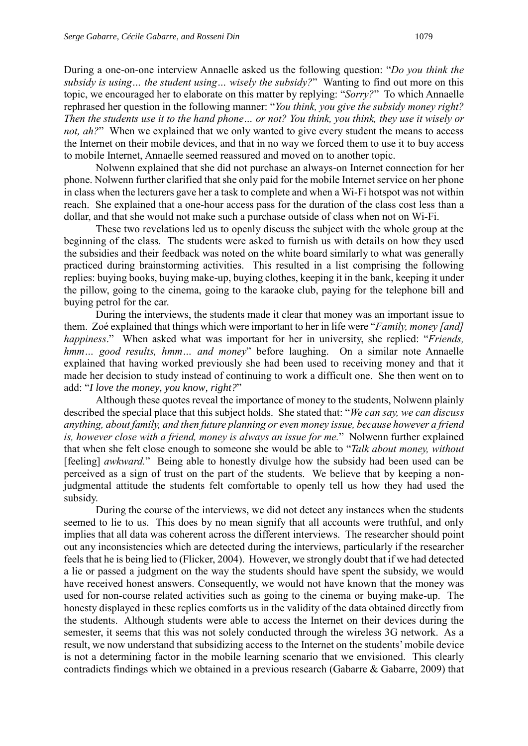During a one-on-one interview Annaelle asked us the following question: "*Do you think the subsidy is using… the student using… wisely the subsidy?*" Wanting to find out more on this topic, we encouraged her to elaborate on this matter by replying: "*Sorry?*" To which Annaelle rephrased her question in the following manner: "*You think, you give the subsidy money right? Then the students use it to the hand phone… or not? You think, you think, they use it wisely or not, ah?*" When we explained that we only wanted to give every student the means to access the Internet on their mobile devices, and that in no way we forced them to use it to buy access to mobile Internet, Annaelle seemed reassured and moved on to another topic.

Nolwenn explained that she did not purchase an always-on Internet connection for her phone. Nolwenn further clarified that she only paid for the mobile Internet service on her phone in class when the lecturers gave her a task to complete and when a Wi-Fi hotspot was not within reach. She explained that a one-hour access pass for the duration of the class cost less than a dollar, and that she would not make such a purchase outside of class when not on Wi-Fi.

These two revelations led us to openly discuss the subject with the whole group at the beginning of the class. The students were asked to furnish us with details on how they used the subsidies and their feedback was noted on the white board similarly to what was generally practiced during brainstorming activities. This resulted in a list comprising the following replies: buying books, buying make-up, buying clothes, keeping it in the bank, keeping it under the pillow, going to the cinema, going to the karaoke club, paying for the telephone bill and buying petrol for the car.

During the interviews, the students made it clear that money was an important issue to them. Zoé explained that things which were important to her in life were "*Family, money [and] happiness*." When asked what was important for her in university, she replied: "*Friends, hmm… good results, hmm… and money*" before laughing. On a similar note Annaelle explained that having worked previously she had been used to receiving money and that it made her decision to study instead of continuing to work a difficult one. She then went on to add: "*I love the money, you know, right?*"

Although these quotes reveal the importance of money to the students, Nolwenn plainly described the special place that this subject holds. She stated that: "*We can say, we can discuss anything, about family, and then future planning or even money issue, because however a friend is, however close with a friend, money is always an issue for me.*" Nolwenn further explained that when she felt close enough to someone she would be able to "*Talk about money, without*  [feeling] *awkward*." Being able to honestly divulge how the subsidy had been used can be perceived as a sign of trust on the part of the students. We believe that by keeping a nonjudgmental attitude the students felt comfortable to openly tell us how they had used the subsidy.

During the course of the interviews, we did not detect any instances when the students seemed to lie to us. This does by no mean signify that all accounts were truthful, and only implies that all data was coherent across the different interviews. The researcher should point out any inconsistencies which are detected during the interviews, particularly if the researcher feels that he is being lied to (Flicker, 2004). However, we strongly doubt that if we had detected a lie or passed a judgment on the way the students should have spent the subsidy, we would have received honest answers. Consequently, we would not have known that the money was used for non-course related activities such as going to the cinema or buying make-up. The honesty displayed in these replies comforts us in the validity of the data obtained directly from the students. Although students were able to access the Internet on their devices during the semester, it seems that this was not solely conducted through the wireless 3G network. As a result, we now understand that subsidizing access to the Internet on the students' mobile device is not a determining factor in the mobile learning scenario that we envisioned. This clearly contradicts findings which we obtained in a previous research (Gabarre & Gabarre, 2009) that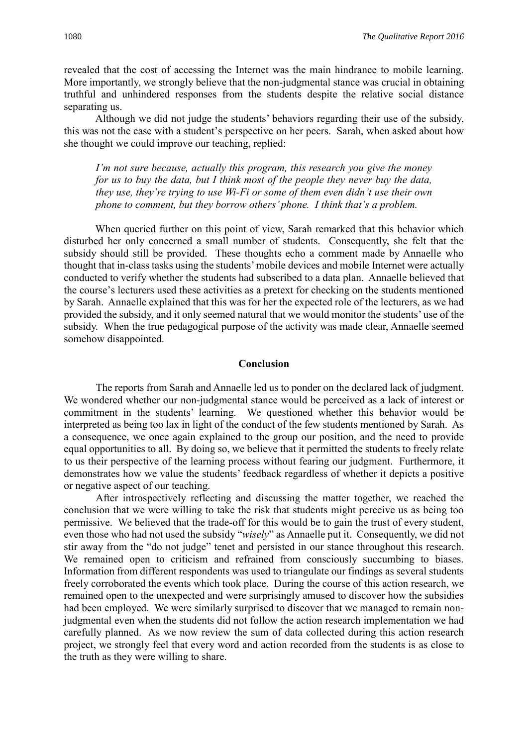revealed that the cost of accessing the Internet was the main hindrance to mobile learning. More importantly, we strongly believe that the non-judgmental stance was crucial in obtaining truthful and unhindered responses from the students despite the relative social distance separating us.

Although we did not judge the students' behaviors regarding their use of the subsidy, this was not the case with a student's perspective on her peers. Sarah, when asked about how she thought we could improve our teaching, replied:

*I'm not sure because, actually this program, this research you give the money for us to buy the data, but I think most of the people they never buy the data, they use, they're trying to use Wi-Fi or some of them even didn't use their own phone to comment, but they borrow others' phone. I think that's a problem.*

When queried further on this point of view, Sarah remarked that this behavior which disturbed her only concerned a small number of students. Consequently, she felt that the subsidy should still be provided. These thoughts echo a comment made by Annaelle who thought that in-class tasks using the students' mobile devices and mobile Internet were actually conducted to verify whether the students had subscribed to a data plan. Annaelle believed that the course's lecturers used these activities as a pretext for checking on the students mentioned by Sarah. Annaelle explained that this was for her the expected role of the lecturers, as we had provided the subsidy, and it only seemed natural that we would monitor the students' use of the subsidy. When the true pedagogical purpose of the activity was made clear, Annaelle seemed somehow disappointed.

#### **Conclusion**

The reports from Sarah and Annaelle led us to ponder on the declared lack of judgment. We wondered whether our non-judgmental stance would be perceived as a lack of interest or commitment in the students' learning. We questioned whether this behavior would be interpreted as being too lax in light of the conduct of the few students mentioned by Sarah. As a consequence, we once again explained to the group our position, and the need to provide equal opportunities to all. By doing so, we believe that it permitted the students to freely relate to us their perspective of the learning process without fearing our judgment. Furthermore, it demonstrates how we value the students' feedback regardless of whether it depicts a positive or negative aspect of our teaching.

After introspectively reflecting and discussing the matter together, we reached the conclusion that we were willing to take the risk that students might perceive us as being too permissive. We believed that the trade-off for this would be to gain the trust of every student, even those who had not used the subsidy "*wisely*" as Annaelle put it. Consequently, we did not stir away from the "do not judge" tenet and persisted in our stance throughout this research. We remained open to criticism and refrained from consciously succumbing to biases. Information from different respondents was used to triangulate our findings as several students freely corroborated the events which took place. During the course of this action research, we remained open to the unexpected and were surprisingly amused to discover how the subsidies had been employed. We were similarly surprised to discover that we managed to remain nonjudgmental even when the students did not follow the action research implementation we had carefully planned. As we now review the sum of data collected during this action research project, we strongly feel that every word and action recorded from the students is as close to the truth as they were willing to share.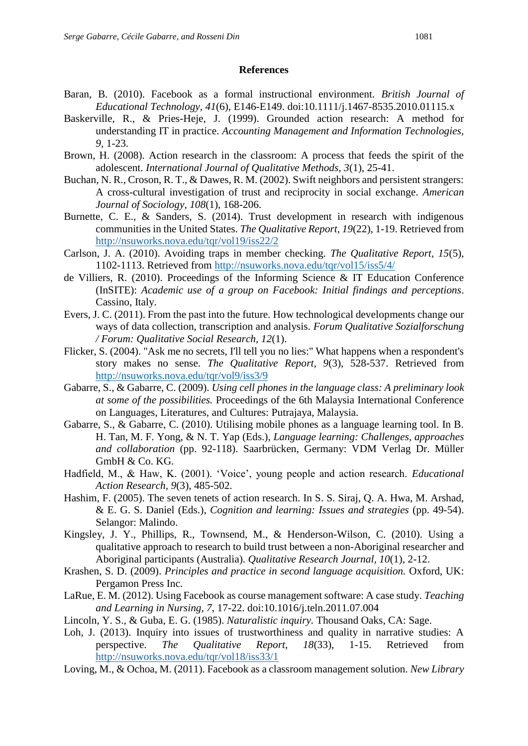## **References**

- Baran, B. (2010). Facebook as a formal instructional environment. *British Journal of Educational Technology, 41*(6), E146-E149. doi:10.1111/j.1467-8535.2010.01115.x
- Baskerville, R., & Pries-Heje, J. (1999). Grounded action research: A method for understanding IT in practice. *Accounting Management and Information Technologies, 9,* 1-23.
- Brown, H. (2008). Action research in the classroom: A process that feeds the spirit of the adolescent. *International Journal of Qualitative Methods, 3*(1), 25-41.
- Buchan, N. R., Croson, R. T., & Dawes, R. M. (2002). Swift neighbors and persistent strangers: A cross-cultural investigation of trust and reciprocity in social exchange. *American Journal of Sociology, 108*(1), 168-206.
- Burnette, C. E., & Sanders, S. (2014). Trust development in research with indigenous communities in the United States. *The Qualitative Report, 19*(22), 1-19. Retrieved from <http://nsuworks.nova.edu/tqr/vol19/iss22/2>
- Carlson, J. A. (2010). Avoiding traps in member checking. *The Qualitative Report, 15*(5), 1102-1113. Retrieved from<http://nsuworks.nova.edu/tqr/vol15/iss5/4/>
- de Villiers, R. (2010). Proceedings of the Informing Science & IT Education Conference (InSITE): *Academic use of a group on Facebook: Initial findings and perceptions*. Cassino, Italy.
- Evers, J. C. (2011). From the past into the future. How technological developments change our ways of data collection, transcription and analysis. *Forum Qualitative Sozialforschung / Forum: Qualitative Social Research, 12*(1).
- Flicker, S. (2004). "Ask me no secrets, I'll tell you no lies:" What happens when a respondent's story makes no sense. *The Qualitative Report, 9*(3), 528-537. Retrieved from <http://nsuworks.nova.edu/tqr/vol9/iss3/9>
- Gabarre, S., & Gabarre, C. (2009). *Using cell phones in the language class: A preliminary look at some of the possibilities.* Proceedings of the 6th Malaysia International Conference on Languages, Literatures, and Cultures: Putrajaya, Malaysia.
- Gabarre, S., & Gabarre, C. (2010). Utilising mobile phones as a language learning tool. In B. H. Tan, M. F. Yong, & N. T. Yap (Eds.), *Language learning: Challenges, approaches and collaboration* (pp. 92-118). Saarbrücken, Germany: VDM Verlag Dr. Müller GmbH & Co. KG.
- Hadfield, M., & Haw, K. (2001). 'Voice', young people and action research. *Educational Action Research, 9*(3), 485-502.
- Hashim, F. (2005). The seven tenets of action research. In S. S. Siraj, Q. A. Hwa, M. Arshad, & E. G. S. Daniel (Eds.), *Cognition and learning: Issues and strategies* (pp. 49-54). Selangor: Malindo.
- Kingsley, J. Y., Phillips, R., Townsend, M., & Henderson-Wilson, C. (2010). Using a qualitative approach to research to build trust between a non-Aboriginal researcher and Aboriginal participants (Australia). *Qualitative Research Journal, 10*(1), 2-12.
- Krashen, S. D. (2009). *Principles and practice in second language acquisition.* Oxford, UK: Pergamon Press Inc.
- LaRue, E. M. (2012). Using Facebook as course management software: A case study. *Teaching and Learning in Nursing, 7*, 17-22. doi:10.1016/j.teln.2011.07.004
- Lincoln, Y. S., & Guba, E. G. (1985). *Naturalistic inquiry.* Thousand Oaks, CA: Sage.
- Loh, J. (2013). Inquiry into issues of trustworthiness and quality in narrative studies: A perspective. *The Qualitative Report, 18*(33), 1-15. Retrieved from <http://nsuworks.nova.edu/tqr/vol18/iss33/1>
- Loving, M., & Ochoa, M. (2011). Facebook as a classroom management solution. *New Library*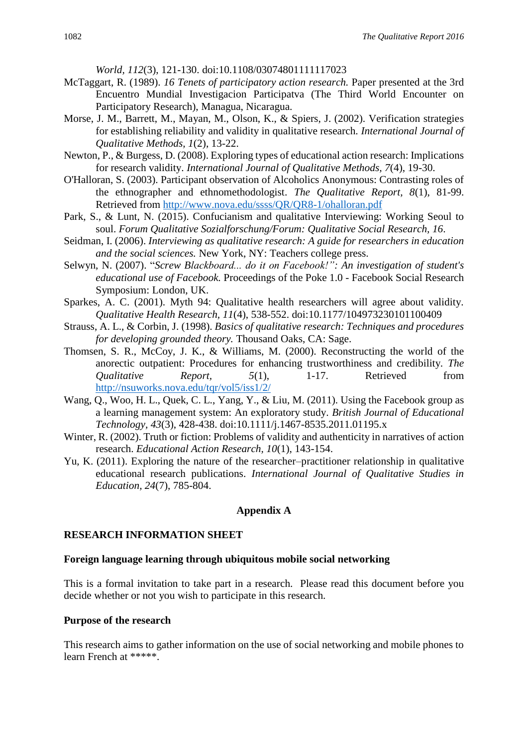*World, 112*(3), 121-130. doi:10.1108/03074801111117023

- McTaggart, R. (1989). *16 Tenets of participatory action research.* Paper presented at the 3rd Encuentro Mundial Investigacion Participatva (The Third World Encounter on Participatory Research), Managua, Nicaragua.
- Morse, J. M., Barrett, M., Mayan, M., Olson, K., & Spiers, J. (2002). Verification strategies for establishing reliability and validity in qualitative research. *International Journal of Qualitative Methods, 1*(2), 13-22.
- Newton, P., & Burgess, D. (2008). Exploring types of educational action research: Implications for research validity. *International Journal of Qualitative Methods, 7*(4), 19-30.
- O'Halloran, S. (2003). Participant observation of Alcoholics Anonymous: Contrasting roles of the ethnographer and ethnomethodologist. *The Qualitative Report, 8*(1), 81-99. Retrieved from<http://www.nova.edu/ssss/QR/QR8-1/ohalloran.pdf>
- Park, S., & Lunt, N. (2015). Confucianism and qualitative Interviewing: Working Seoul to soul. *Forum Qualitative Sozialforschung/Forum: Qualitative Social Research, 16*.
- Seidman, I. (2006). *Interviewing as qualitative research: A guide for researchers in education and the social sciences.* New York, NY: Teachers college press.
- Selwyn, N. (2007). "*Screw Blackboard... do it on Facebook!": An investigation of student's educational use of Facebook.* Proceedings of the Poke 1.0 - Facebook Social Research Symposium: London, UK.
- Sparkes, A. C. (2001). Myth 94: Qualitative health researchers will agree about validity. *Qualitative Health Research, 11*(4), 538-552. doi:10.1177/104973230101100409
- Strauss, A. L., & Corbin, J. (1998). *Basics of qualitative research: Techniques and procedures for developing grounded theory.* Thousand Oaks, CA: Sage.
- Thomsen, S. R., McCoy, J. K., & Williams, M. (2000). Reconstructing the world of the anorectic outpatient: Procedures for enhancing trustworthiness and credibility. *The Qualitative Report, 5*(1), 1-17. Retrieved from <http://nsuworks.nova.edu/tqr/vol5/iss1/2/>
- Wang, Q., Woo, H. L., Quek, C. L., Yang, Y., & Liu, M. (2011). Using the Facebook group as a learning management system: An exploratory study. *British Journal of Educational Technology, 43*(3), 428-438. doi:10.1111/j.1467-8535.2011.01195.x
- Winter, R. (2002). Truth or fiction: Problems of validity and authenticity in narratives of action research. *Educational Action Research, 10*(1), 143-154.
- Yu, K. (2011). Exploring the nature of the researcher–practitioner relationship in qualitative educational research publications. *International Journal of Qualitative Studies in Education, 24*(7), 785-804.

#### **Appendix A**

#### **RESEARCH INFORMATION SHEET**

#### **Foreign language learning through ubiquitous mobile social networking**

This is a formal invitation to take part in a research. Please read this document before you decide whether or not you wish to participate in this research.

#### **Purpose of the research**

This research aims to gather information on the use of social networking and mobile phones to learn French at \*\*\*\*\*.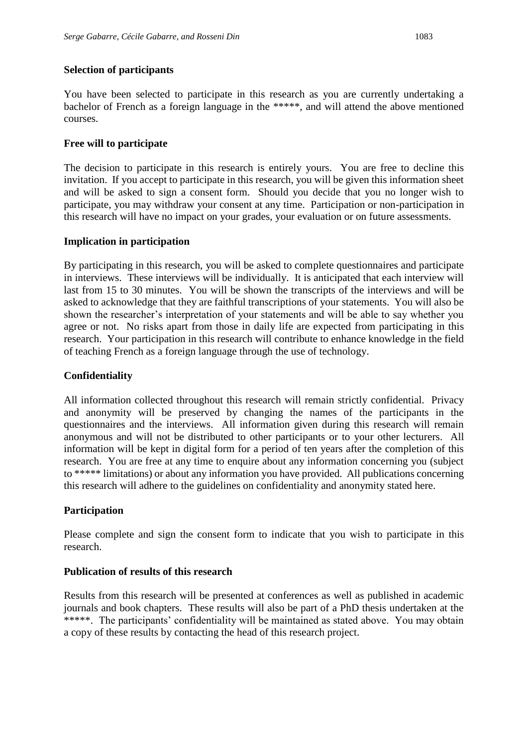## **Selection of participants**

You have been selected to participate in this research as you are currently undertaking a bachelor of French as a foreign language in the \*\*\*\*\*, and will attend the above mentioned courses.

## **Free will to participate**

The decision to participate in this research is entirely yours. You are free to decline this invitation. If you accept to participate in this research, you will be given this information sheet and will be asked to sign a consent form. Should you decide that you no longer wish to participate, you may withdraw your consent at any time. Participation or non-participation in this research will have no impact on your grades, your evaluation or on future assessments.

#### **Implication in participation**

By participating in this research, you will be asked to complete questionnaires and participate in interviews. These interviews will be individually. It is anticipated that each interview will last from 15 to 30 minutes. You will be shown the transcripts of the interviews and will be asked to acknowledge that they are faithful transcriptions of your statements. You will also be shown the researcher's interpretation of your statements and will be able to say whether you agree or not. No risks apart from those in daily life are expected from participating in this research. Your participation in this research will contribute to enhance knowledge in the field of teaching French as a foreign language through the use of technology.

#### **Confidentiality**

All information collected throughout this research will remain strictly confidential. Privacy and anonymity will be preserved by changing the names of the participants in the questionnaires and the interviews. All information given during this research will remain anonymous and will not be distributed to other participants or to your other lecturers. All information will be kept in digital form for a period of ten years after the completion of this research. You are free at any time to enquire about any information concerning you (subject to \*\*\*\*\* limitations) or about any information you have provided. All publications concerning this research will adhere to the guidelines on confidentiality and anonymity stated here.

## **Participation**

Please complete and sign the consent form to indicate that you wish to participate in this research.

## **Publication of results of this research**

Results from this research will be presented at conferences as well as published in academic journals and book chapters. These results will also be part of a PhD thesis undertaken at the \*\*\*\*\*. The participants' confidentiality will be maintained as stated above. You may obtain a copy of these results by contacting the head of this research project.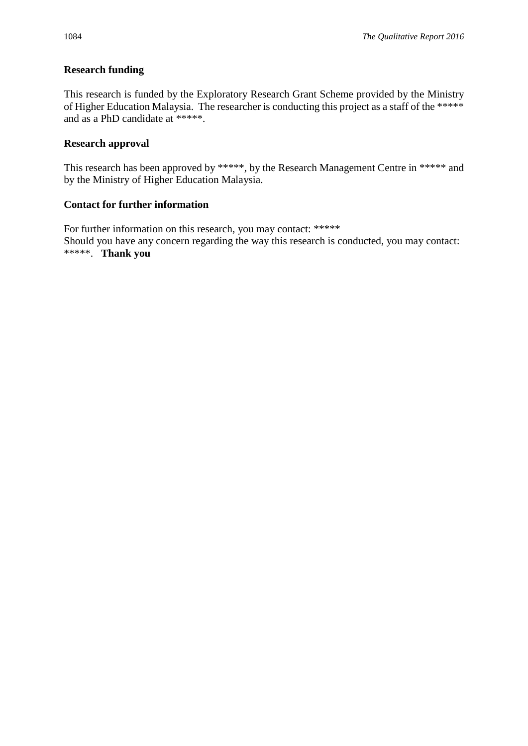## **Research funding**

This research is funded by the Exploratory Research Grant Scheme provided by the Ministry of Higher Education Malaysia. The researcher is conducting this project as a staff of the \*\*\*\*\* and as a PhD candidate at \*\*\*\*\*.

## **Research approval**

This research has been approved by \*\*\*\*\*, by the Research Management Centre in \*\*\*\*\* and by the Ministry of Higher Education Malaysia.

## **Contact for further information**

For further information on this research, you may contact: \*\*\*\*\* Should you have any concern regarding the way this research is conducted, you may contact: \*\*\*\*\*. **Thank you**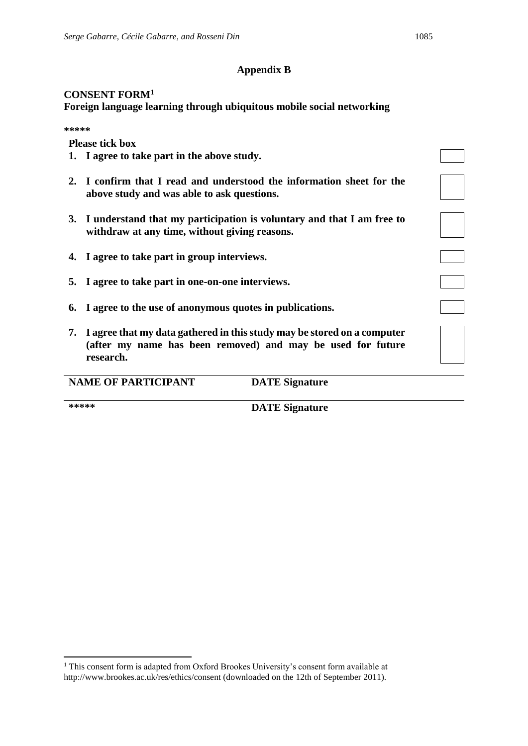## **Appendix B**

## **CONSENT FORM<sup>1</sup>**

**Foreign language learning through ubiquitous mobile social networking**

**\*\*\*\*\***

**Please tick box**

- **1. I agree to take part in the above study.**
- **2. I confirm that I read and understood the information sheet for the above study and was able to ask questions.**
- **3. I understand that my participation is voluntary and that I am free to withdraw at any time, without giving reasons.**
- **4. I agree to take part in group interviews.**
- **5. I agree to take part in one-on-one interviews.**
- **6. I agree to the use of anonymous quotes in publications.**
- **7. I agree that my data gathered in this study may be stored on a computer (after my name has been removed) and may be used for future research.**

| <b>NAME OF PARTICIPANT</b><br><b>DATE</b> Signature |  |
|-----------------------------------------------------|--|
|-----------------------------------------------------|--|

**.** 

**\*\*\*\*\* DATE Signature**

<sup>&</sup>lt;sup>1</sup> This consent form is adapted from Oxford Brookes University's consent form available at http://www.brookes.ac.uk/res/ethics/consent (downloaded on the 12th of September 2011).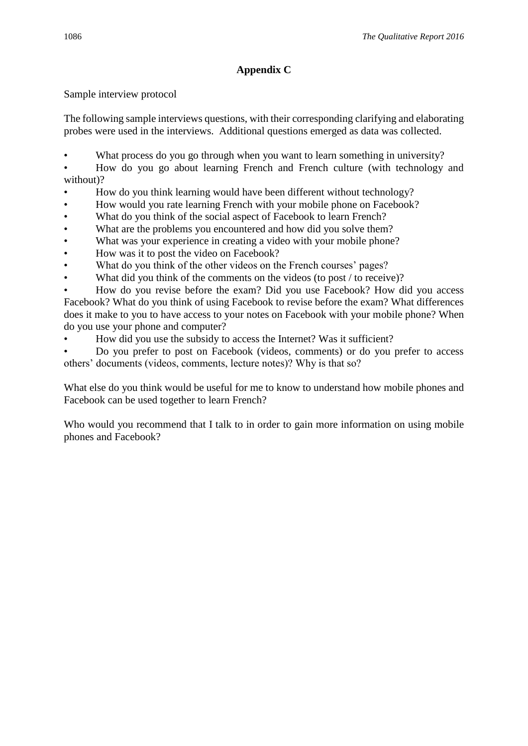## **Appendix C**

Sample interview protocol

The following sample interviews questions, with their corresponding clarifying and elaborating probes were used in the interviews. Additional questions emerged as data was collected.

What process do you go through when you want to learn something in university?

• How do you go about learning French and French culture (with technology and without)?

- How do you think learning would have been different without technology?
- How would you rate learning French with your mobile phone on Facebook?
- What do you think of the social aspect of Facebook to learn French?
- What are the problems you encountered and how did you solve them?
- What was your experience in creating a video with your mobile phone?
- How was it to post the video on Facebook?
- What do you think of the other videos on the French courses' pages?
- What did you think of the comments on the videos (to post  $/$  to receive)?

• How do you revise before the exam? Did you use Facebook? How did you access Facebook? What do you think of using Facebook to revise before the exam? What differences does it make to you to have access to your notes on Facebook with your mobile phone? When do you use your phone and computer?

• How did you use the subsidy to access the Internet? Was it sufficient?

• Do you prefer to post on Facebook (videos, comments) or do you prefer to access others' documents (videos, comments, lecture notes)? Why is that so?

What else do you think would be useful for me to know to understand how mobile phones and Facebook can be used together to learn French?

Who would you recommend that I talk to in order to gain more information on using mobile phones and Facebook?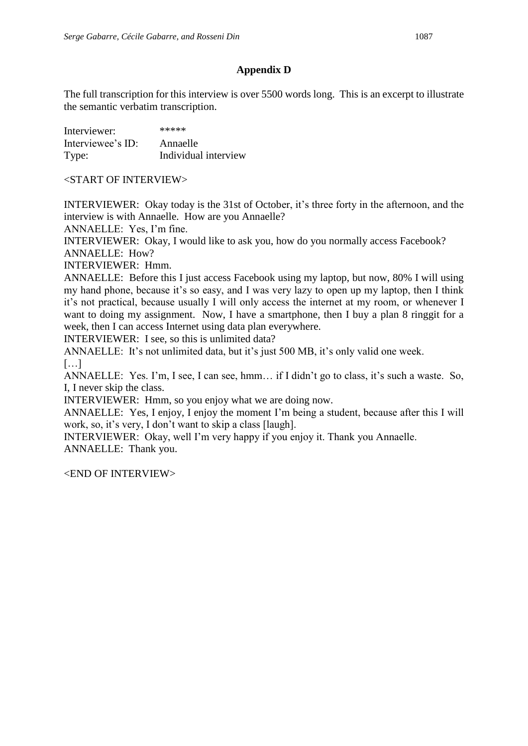## **Appendix D**

The full transcription for this interview is over 5500 words long. This is an excerpt to illustrate the semantic verbatim transcription.

| Interviewer:      | *****                |
|-------------------|----------------------|
| Interviewee's ID: | Annaelle             |
| Type:             | Individual interview |

<START OF INTERVIEW>

INTERVIEWER: Okay today is the 31st of October, it's three forty in the afternoon, and the interview is with Annaelle. How are you Annaelle?

ANNAELLE: Yes, I'm fine.

INTERVIEWER: Okay, I would like to ask you, how do you normally access Facebook? ANNAELLE: How?

INTERVIEWER: Hmm.

ANNAELLE: Before this I just access Facebook using my laptop, but now, 80% I will using my hand phone, because it's so easy, and I was very lazy to open up my laptop, then I think it's not practical, because usually I will only access the internet at my room, or whenever I want to doing my assignment. Now, I have a smartphone, then I buy a plan 8 ringgit for a week, then I can access Internet using data plan everywhere.

INTERVIEWER: I see, so this is unlimited data?

ANNAELLE: It's not unlimited data, but it's just 500 MB, it's only valid one week. […]

ANNAELLE: Yes. I'm, I see, I can see, hmm… if I didn't go to class, it's such a waste. So, I, I never skip the class.

INTERVIEWER: Hmm, so you enjoy what we are doing now.

ANNAELLE: Yes, I enjoy, I enjoy the moment I'm being a student, because after this I will work, so, it's very, I don't want to skip a class [laugh].

INTERVIEWER: Okay, well I'm very happy if you enjoy it. Thank you Annaelle. ANNAELLE: Thank you.

<END OF INTERVIEW>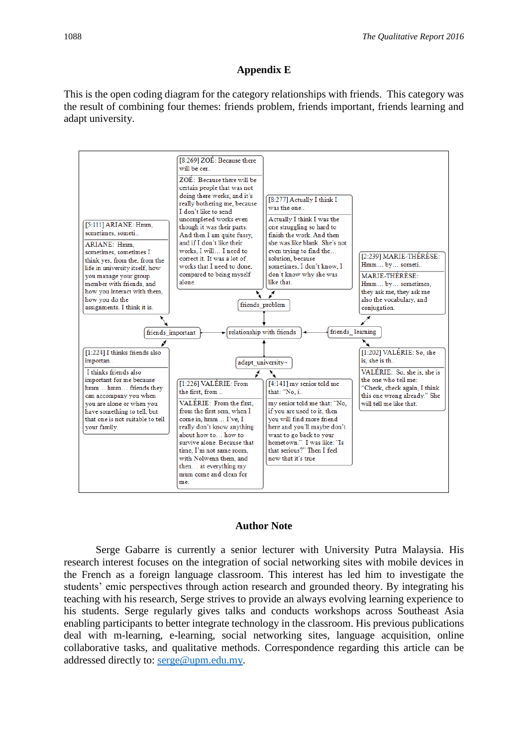# **Appendix E**

This is the open coding diagram for the category relationships with friends. This category was the result of combining four themes: friends problem, friends important, friends learning and adapt university.



## **Author Note**

Serge Gabarre is currently a senior lecturer with University Putra Malaysia. His research interest focuses on the integration of social networking sites with mobile devices in the French as a foreign language classroom. This interest has led him to investigate the students' emic perspectives through action research and grounded theory. By integrating his teaching with his research, Serge strives to provide an always evolving learning experience to his students. Serge regularly gives talks and conducts workshops across Southeast Asia enabling participants to better integrate technology in the classroom. His previous publications deal with m-learning, e-learning, social networking sites, language acquisition, online collaborative tasks, and qualitative methods. Correspondence regarding this article can be addressed directly to: [serge@upm.edu.my.](mailto:serge@upm.edu.my)